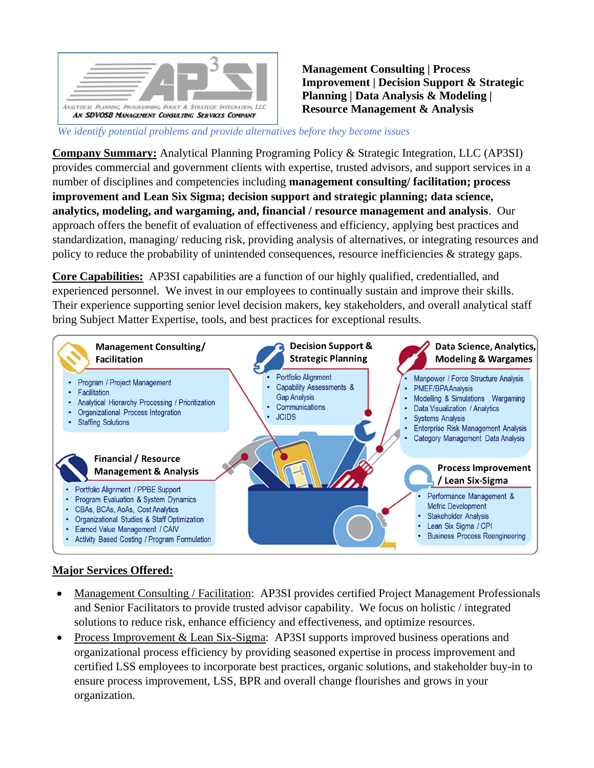

**Management Consulting | Process Improvement | Decision Support & Strategic Planning | Data Analysis & Modeling | Resource Management & Analysis**

 *We identify potential problems and provide alternatives before they become issues*

**Company Summary:** Analytical Planning Programing Policy & Strategic Integration, LLC (AP3SI) provides commercial and government clients with expertise, trusted advisors, and support services in a number of disciplines and competencies including **management consulting/ facilitation; process improvement and Lean Six Sigma; decision support and strategic planning; data science, analytics, modeling, and wargaming, and, financial / resource management and analysis**. Our approach offers the benefit of evaluation of effectiveness and efficiency, applying best practices and standardization, managing/ reducing risk, providing analysis of alternatives, or integrating resources and policy to reduce the probability of unintended consequences, resource inefficiencies & strategy gaps.

**Core Capabilities:** AP3SI capabilities are a function of our highly qualified, credentialled, and experienced personnel. We invest in our employees to continually sustain and improve their skills. Their experience supporting senior level decision makers, key stakeholders, and overall analytical staff bring Subject Matter Expertise, tools, and best practices for exceptional results.



## **Major Services Offered:**

- Management Consulting / Facilitation: AP3SI provides certified Project Management Professionals and Senior Facilitators to provide trusted advisor capability. We focus on holistic / integrated solutions to reduce risk, enhance efficiency and effectiveness, and optimize resources.
- Process Improvement & Lean Six-Sigma: AP3SI supports improved business operations and organizational process efficiency by providing seasoned expertise in process improvement and certified LSS employees to incorporate best practices, organic solutions, and stakeholder buy-in to ensure process improvement, LSS, BPR and overall change flourishes and grows in your organization.